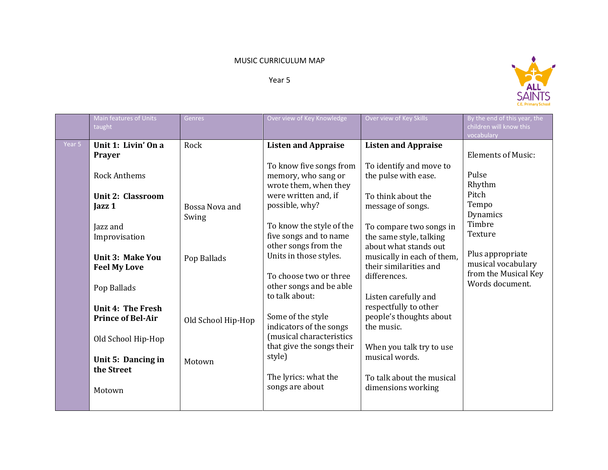## MUSIC CURRICULUM MAP

Year 5



|        | Main features of Units<br>taught                                                                                                                                                                                                                                                                                         | <b>Genres</b>                                                                  | Over view of Key Knowledge                                                                                                                                                                                                                                                                                                                                                                                                                                                                   | Over view of Key Skills                                                                                                                                                                                                                                                                                                                                                                                                                                                    | By the end of this year, the<br>children will know this<br>vocabulary                                                                                                                |
|--------|--------------------------------------------------------------------------------------------------------------------------------------------------------------------------------------------------------------------------------------------------------------------------------------------------------------------------|--------------------------------------------------------------------------------|----------------------------------------------------------------------------------------------------------------------------------------------------------------------------------------------------------------------------------------------------------------------------------------------------------------------------------------------------------------------------------------------------------------------------------------------------------------------------------------------|----------------------------------------------------------------------------------------------------------------------------------------------------------------------------------------------------------------------------------------------------------------------------------------------------------------------------------------------------------------------------------------------------------------------------------------------------------------------------|--------------------------------------------------------------------------------------------------------------------------------------------------------------------------------------|
| Year 5 | Unit 1: Livin' On a<br>Prayer<br><b>Rock Anthems</b><br><b>Unit 2: Classroom</b><br>Jazz <sub>1</sub><br>Jazz and<br>Improvisation<br><b>Unit 3: Make You</b><br><b>Feel My Love</b><br>Pop Ballads<br>Unit 4: The Fresh<br><b>Prince of Bel-Air</b><br>Old School Hip-Hop<br>Unit 5: Dancing in<br>the Street<br>Motown | Rock<br>Bossa Nova and<br>Swing<br>Pop Ballads<br>Old School Hip-Hop<br>Motown | <b>Listen and Appraise</b><br>To know five songs from<br>memory, who sang or<br>wrote them, when they<br>were written and, if<br>possible, why?<br>To know the style of the<br>five songs and to name<br>other songs from the<br>Units in those styles.<br>To choose two or three<br>other songs and be able<br>to talk about:<br>Some of the style<br>indicators of the songs<br>(musical characteristics<br>that give the songs their<br>style)<br>The lyrics: what the<br>songs are about | <b>Listen and Appraise</b><br>To identify and move to<br>the pulse with ease.<br>To think about the<br>message of songs.<br>To compare two songs in<br>the same style, talking<br>about what stands out<br>musically in each of them,<br>their similarities and<br>differences.<br>Listen carefully and<br>respectfully to other<br>people's thoughts about<br>the music.<br>When you talk try to use<br>musical words.<br>To talk about the musical<br>dimensions working | <b>Elements of Music:</b><br>Pulse<br>Rhythm<br>Pitch<br>Tempo<br>Dynamics<br>Timbre<br>Texture<br>Plus appropriate<br>musical vocabulary<br>from the Musical Key<br>Words document. |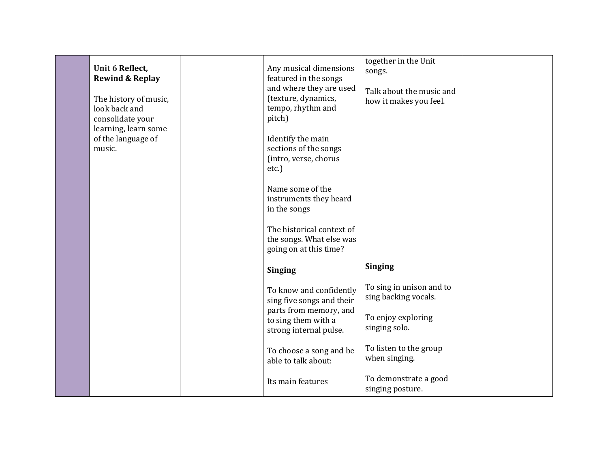| Unit 6 Reflect,<br><b>Rewind &amp; Replay</b><br>The history of music,<br>look back and<br>consolidate your | Any musical dimensions<br>featured in the songs<br>and where they are used<br>(texture, dynamics,<br>tempo, rhythm and<br>pitch) | together in the Unit<br>songs.<br>Talk about the music and<br>how it makes you feel. |  |
|-------------------------------------------------------------------------------------------------------------|----------------------------------------------------------------------------------------------------------------------------------|--------------------------------------------------------------------------------------|--|
| learning, learn some<br>of the language of<br>music.                                                        | Identify the main<br>sections of the songs<br>(intro, verse, chorus<br>etc.                                                      |                                                                                      |  |
|                                                                                                             | Name some of the<br>instruments they heard<br>in the songs                                                                       |                                                                                      |  |
|                                                                                                             | The historical context of<br>the songs. What else was<br>going on at this time?                                                  |                                                                                      |  |
|                                                                                                             | <b>Singing</b>                                                                                                                   | <b>Singing</b>                                                                       |  |
|                                                                                                             | To know and confidently<br>sing five songs and their                                                                             | To sing in unison and to<br>sing backing vocals.                                     |  |
|                                                                                                             | parts from memory, and<br>to sing them with a<br>strong internal pulse.                                                          | To enjoy exploring<br>singing solo.                                                  |  |
|                                                                                                             | To choose a song and be<br>able to talk about:                                                                                   | To listen to the group<br>when singing.                                              |  |
|                                                                                                             | Its main features                                                                                                                | To demonstrate a good<br>singing posture.                                            |  |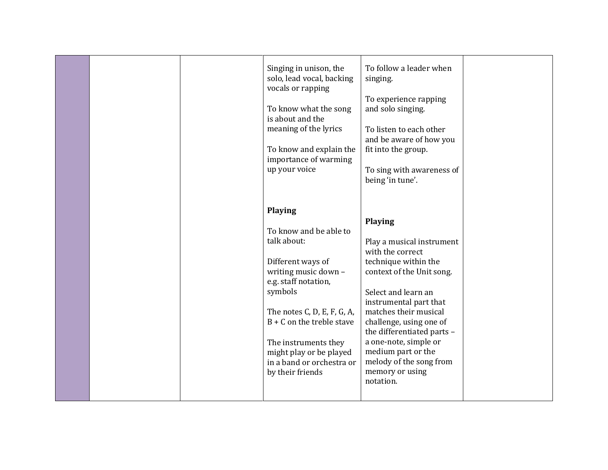|  | Singing in unison, the<br>solo, lead vocal, backing<br>vocals or rapping<br>To know what the song<br>is about and the<br>meaning of the lyrics<br>To know and explain the<br>importance of warming<br>up your voice | To follow a leader when<br>singing.<br>To experience rapping<br>and solo singing.<br>To listen to each other<br>and be aware of how you<br>fit into the group.<br>To sing with awareness of<br>being 'in tune'. |  |
|--|---------------------------------------------------------------------------------------------------------------------------------------------------------------------------------------------------------------------|-----------------------------------------------------------------------------------------------------------------------------------------------------------------------------------------------------------------|--|
|  | <b>Playing</b>                                                                                                                                                                                                      |                                                                                                                                                                                                                 |  |
|  |                                                                                                                                                                                                                     |                                                                                                                                                                                                                 |  |
|  |                                                                                                                                                                                                                     | Playing                                                                                                                                                                                                         |  |
|  | To know and be able to                                                                                                                                                                                              |                                                                                                                                                                                                                 |  |
|  | talk about:                                                                                                                                                                                                         | Play a musical instrument                                                                                                                                                                                       |  |
|  |                                                                                                                                                                                                                     | with the correct                                                                                                                                                                                                |  |
|  | Different ways of                                                                                                                                                                                                   | technique within the                                                                                                                                                                                            |  |
|  | writing music down -                                                                                                                                                                                                | context of the Unit song.                                                                                                                                                                                       |  |
|  | e.g. staff notation,                                                                                                                                                                                                |                                                                                                                                                                                                                 |  |
|  | symbols                                                                                                                                                                                                             | Select and learn an                                                                                                                                                                                             |  |
|  |                                                                                                                                                                                                                     | instrumental part that                                                                                                                                                                                          |  |
|  | The notes C, D, E, F, G, A,                                                                                                                                                                                         | matches their musical                                                                                                                                                                                           |  |
|  | $B + C$ on the treble stave                                                                                                                                                                                         | challenge, using one of                                                                                                                                                                                         |  |
|  |                                                                                                                                                                                                                     | the differentiated parts -                                                                                                                                                                                      |  |
|  | The instruments they                                                                                                                                                                                                | a one-note, simple or                                                                                                                                                                                           |  |
|  | might play or be played                                                                                                                                                                                             | medium part or the                                                                                                                                                                                              |  |
|  | in a band or orchestra or                                                                                                                                                                                           | melody of the song from                                                                                                                                                                                         |  |
|  | by their friends                                                                                                                                                                                                    | memory or using<br>notation.                                                                                                                                                                                    |  |
|  |                                                                                                                                                                                                                     |                                                                                                                                                                                                                 |  |
|  |                                                                                                                                                                                                                     |                                                                                                                                                                                                                 |  |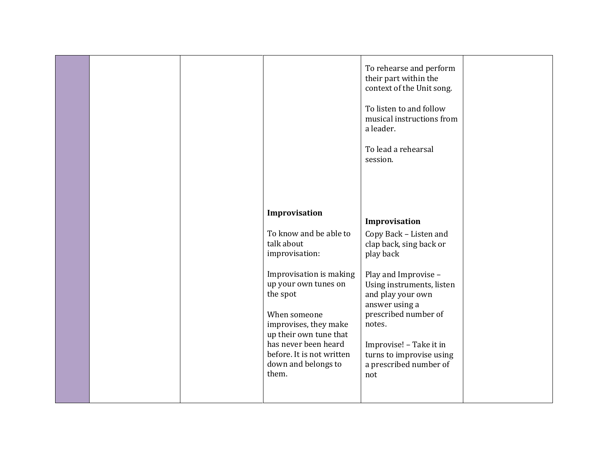|  | Improvisation                                                   | To rehearse and perform<br>their part within the<br>context of the Unit song.<br>To listen to and follow<br>musical instructions from<br>a leader.<br>To lead a rehearsal<br>session. |  |
|--|-----------------------------------------------------------------|---------------------------------------------------------------------------------------------------------------------------------------------------------------------------------------|--|
|  |                                                                 | Improvisation                                                                                                                                                                         |  |
|  | To know and be able to<br>talk about<br>improvisation:          | Copy Back - Listen and<br>clap back, sing back or<br>play back                                                                                                                        |  |
|  | Improvisation is making                                         | Play and Improvise -                                                                                                                                                                  |  |
|  | up your own tunes on<br>the spot                                | Using instruments, listen<br>and play your own<br>answer using a                                                                                                                      |  |
|  | When someone<br>improvises, they make<br>up their own tune that | prescribed number of<br>notes.                                                                                                                                                        |  |
|  | has never been heard                                            | Improvise! - Take it in                                                                                                                                                               |  |
|  | before. It is not written<br>down and belongs to<br>them.       | turns to improvise using<br>a prescribed number of<br>not                                                                                                                             |  |
|  |                                                                 |                                                                                                                                                                                       |  |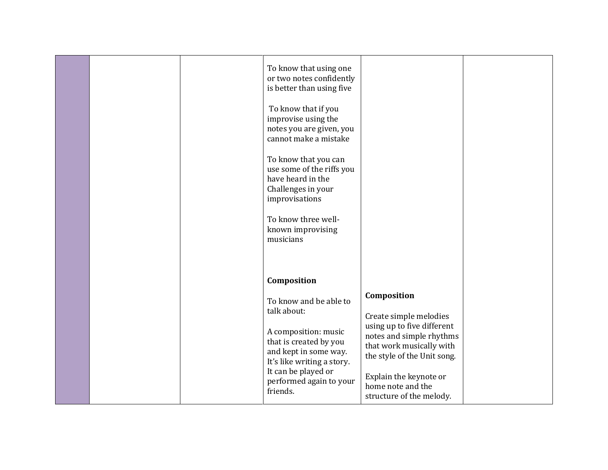|  | To know that using one<br>or two notes confidently<br>is better than using five<br>To know that if you<br>improvise using the<br>notes you are given, you<br>cannot make a mistake<br>To know that you can<br>use some of the riffs you<br>have heard in the<br>Challenges in your<br>improvisations<br>To know three well-<br>known improvising<br>musicians |                                                                                                                                                                                                                                       |  |
|--|---------------------------------------------------------------------------------------------------------------------------------------------------------------------------------------------------------------------------------------------------------------------------------------------------------------------------------------------------------------|---------------------------------------------------------------------------------------------------------------------------------------------------------------------------------------------------------------------------------------|--|
|  | Composition<br>To know and be able to<br>talk about:<br>A composition: music<br>that is created by you<br>and kept in some way.<br>It's like writing a story.<br>It can be played or<br>performed again to your<br>friends.                                                                                                                                   | Composition<br>Create simple melodies<br>using up to five different<br>notes and simple rhythms<br>that work musically with<br>the style of the Unit song.<br>Explain the keynote or<br>home note and the<br>structure of the melody. |  |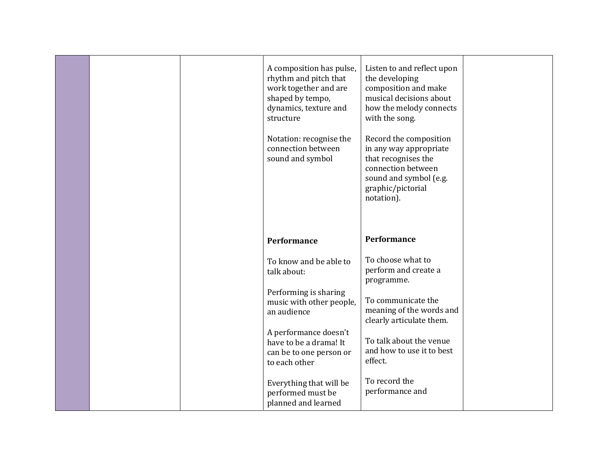|  | A composition has pulse,<br>rhythm and pitch that<br>work together and are<br>shaped by tempo,<br>dynamics, texture and<br>structure<br>Notation: recognise the<br>connection between<br>sound and symbol | Listen to and reflect upon<br>the developing<br>composition and make<br>musical decisions about<br>how the melody connects<br>with the song.<br>Record the composition<br>in any way appropriate<br>that recognises the<br>connection between<br>sound and symbol (e.g.<br>graphic/pictorial<br>notation). |  |
|--|-----------------------------------------------------------------------------------------------------------------------------------------------------------------------------------------------------------|------------------------------------------------------------------------------------------------------------------------------------------------------------------------------------------------------------------------------------------------------------------------------------------------------------|--|
|  | <b>Performance</b>                                                                                                                                                                                        | <b>Performance</b>                                                                                                                                                                                                                                                                                         |  |
|  | To know and be able to<br>talk about:                                                                                                                                                                     | To choose what to<br>perform and create a<br>programme.                                                                                                                                                                                                                                                    |  |
|  | Performing is sharing<br>music with other people,<br>an audience                                                                                                                                          | To communicate the<br>meaning of the words and<br>clearly articulate them.                                                                                                                                                                                                                                 |  |
|  | A performance doesn't<br>have to be a drama! It<br>can be to one person or<br>to each other                                                                                                               | To talk about the venue<br>and how to use it to best<br>effect.                                                                                                                                                                                                                                            |  |
|  | Everything that will be<br>performed must be<br>planned and learned                                                                                                                                       | To record the<br>performance and                                                                                                                                                                                                                                                                           |  |